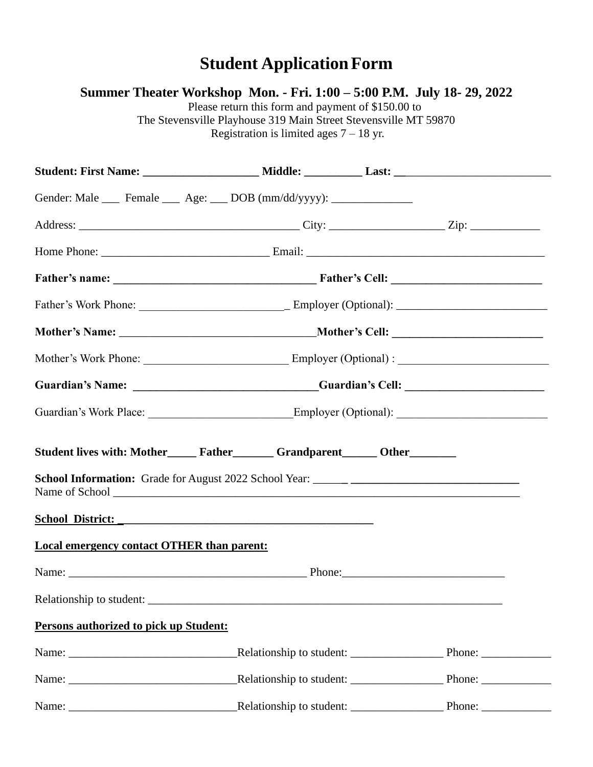# **Student Application Form**

**Summer Theater Workshop Mon. - Fri. 1:00 – 5:00 P.M. July 18- 29, 2022**

Please return this form and payment of \$150.00 to The Stevensville Playhouse 319 Main Street Stevensville MT 59870 Registration is limited ages 7 – 18 yr.

| Gender: Male ___ Female ___ Age: ___ DOB (mm/dd/yyyy): ______________                                                                                                                                                                |  |  |
|--------------------------------------------------------------------------------------------------------------------------------------------------------------------------------------------------------------------------------------|--|--|
|                                                                                                                                                                                                                                      |  |  |
|                                                                                                                                                                                                                                      |  |  |
|                                                                                                                                                                                                                                      |  |  |
|                                                                                                                                                                                                                                      |  |  |
|                                                                                                                                                                                                                                      |  |  |
|                                                                                                                                                                                                                                      |  |  |
| Guardian's Name: ________________________________Guardian's Cell: _______________                                                                                                                                                    |  |  |
|                                                                                                                                                                                                                                      |  |  |
| Student lives with: Mother_______ Father__________ Grandparent________ Other_________                                                                                                                                                |  |  |
| Name of School <u>example and the set of second contract and the set of second contract and the set of second contract of second contract and the set of second contract of second contract of second contract of second contrac</u> |  |  |
|                                                                                                                                                                                                                                      |  |  |
| <b>Local emergency contact OTHER than parent:</b>                                                                                                                                                                                    |  |  |
|                                                                                                                                                                                                                                      |  |  |
|                                                                                                                                                                                                                                      |  |  |
| Persons authorized to pick up Student:                                                                                                                                                                                               |  |  |
|                                                                                                                                                                                                                                      |  |  |
|                                                                                                                                                                                                                                      |  |  |
|                                                                                                                                                                                                                                      |  |  |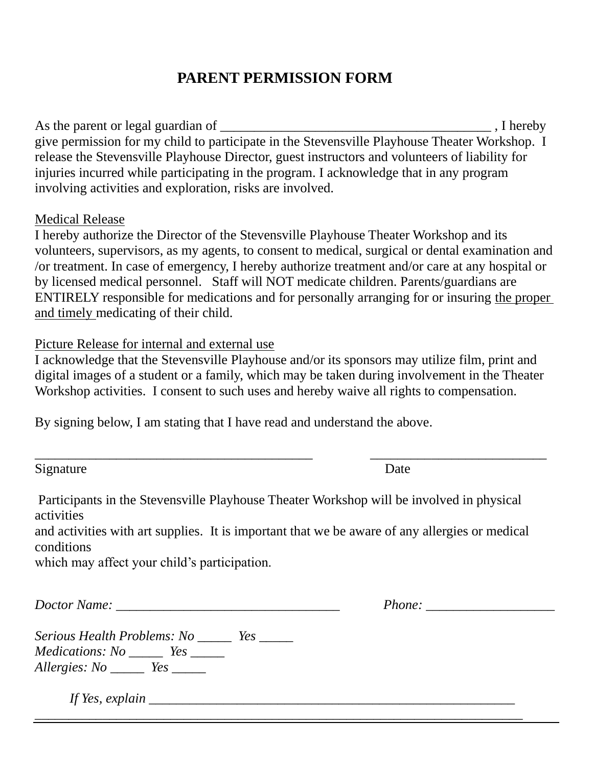## **PARENT PERMISSION FORM**

As the parent or legal guardian of \_\_\_\_\_\_\_\_\_\_\_\_\_\_\_\_\_\_\_\_\_\_\_\_\_\_\_\_\_\_\_\_\_\_\_\_\_\_\_\_ , I hereby give permission for my child to participate in the Stevensville Playhouse Theater Workshop. I release the Stevensville Playhouse Director, guest instructors and volunteers of liability for injuries incurred while participating in the program. I acknowledge that in any program involving activities and exploration, risks are involved.

#### Medical Release

I hereby authorize the Director of the Stevensville Playhouse Theater Workshop and its volunteers, supervisors, as my agents, to consent to medical, surgical or dental examination and /or treatment. In case of emergency, I hereby authorize treatment and/or care at any hospital or by licensed medical personnel. Staff will NOT medicate children. Parents/guardians are ENTIRELY responsible for medications and for personally arranging for or insuring the proper and timely medicating of their child.

Picture Release for internal and external use

I acknowledge that the Stevensville Playhouse and/or its sponsors may utilize film, print and digital images of a student or a family, which may be taken during involvement in the Theater Workshop activities. I consent to such uses and hereby waive all rights to compensation.

\_\_\_\_\_\_\_\_\_\_\_\_\_\_\_\_\_\_\_\_\_\_\_\_\_\_\_\_\_\_\_\_\_\_\_\_\_\_\_\_\_ \_\_\_\_\_\_\_\_\_\_\_\_\_\_\_\_\_\_\_\_\_\_\_\_\_\_

By signing below, I am stating that I have read and understand the above.

Signature Date

Participants in the Stevensville Playhouse Theater Workshop will be involved in physical activities

and activities with art supplies. It is important that we be aware of any allergies or medical conditions

*\_\_\_\_\_\_\_\_\_\_\_\_\_\_\_\_\_\_\_\_\_\_\_\_\_\_\_\_\_\_\_\_\_\_\_\_\_\_\_\_\_\_\_\_\_\_\_\_\_\_\_\_\_\_\_\_\_\_\_\_\_\_\_\_\_\_\_\_\_\_\_\_*

which may affect your child's participation.

*Doctor Name: \_\_\_\_\_\_\_\_\_\_\_\_\_\_\_\_\_\_\_\_\_\_\_\_\_\_\_\_\_\_\_\_\_ Phone: \_\_\_\_\_\_\_\_\_\_\_\_\_\_\_\_\_\_\_*

| Serious Health Problems: No |     | Yes |
|-----------------------------|-----|-----|
| <i>Medications: No</i>      | Yes |     |
| Allergies: No               | Yes |     |

*If Yes, explain*